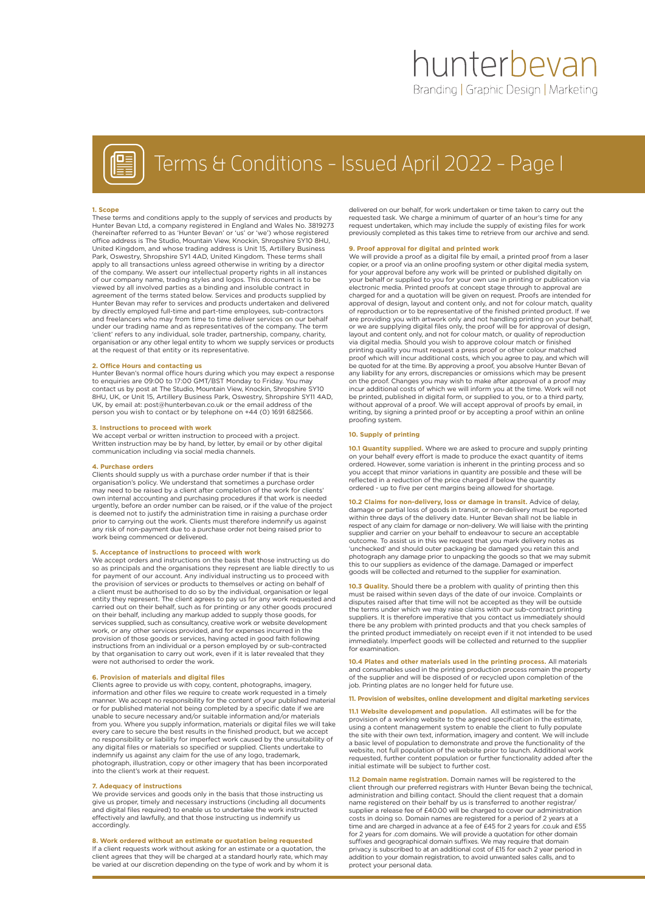# hunterbevan Branding | Graphic Design | Marketing



# Terms & Conditions - Issued April 2022 - Page 1

### **1. Scope**

These terms and conditions apply to the supply of services and products by Hunter Bevan Ltd, a company registered in England and Wales No. 3819273 (hereinafter referred to as 'Hunter Bevan' or 'us' or 'we') whose registered office address is The Studio, Mountain View, Knockin, Shropshire SY10 8HU, United Kingdom, and whose trading address is Unit 15, Artillery Business Park, Oswestry, Shropshire SY1 4AD, United Kingdom. These terms shall apply to all transactions unless agreed otherwise in writing by a director of the company. We assert our intellectual property rights in all instances of our company name, trading styles and logos. This document is to be viewed by all involved parties as a binding and insoluble contract in agreement of the terms stated below. Services and products supplied by Hunter Bevan may refer to services and products undertaken and delivered by directly employed full-time and part-time employees, sub-contractors and freelancers who may from time to time deliver services on our behalf under our trading name and as representatives of the company. The term 'client' refers to any individual, sole trader, partnership, company, charity, organisation or any other legal entity to whom we supply services or products at the request of that entity or its representative.

**2. Office Hours and contacting us** Hunter Bevan's normal office hours during which you may expect a response to enquiries are 09:00 to 17:00 GMT/BST Monday to Friday. You may contact us by post at The Studio, Mountain View, Knockin, Shropshire SY10 8HU, UK, or Unit 15, Artillery Business Park, Oswestry, Shropshire SY11 4AD, UK, by email at: post@hunterbevan.co.uk or the email address of the person you wish to contact or by telephone on +44 (0) 1691 682566.

### **3. Instructions to proceed with work**

We accept verbal or written instruction to proceed with a project. Written instruction may be by hand, by letter, by email or by other digital communication including via social media channels.

### **4. Purchase orders**

Clients should supply us with a purchase order number if that is their organisation's policy. We understand that sometimes a purchase order may need to be raised by a client after completion of the work for clients' own internal accounting and purchasing procedures if that work is needed urgently, before an order number can be raised, or if the value of the project is deemed not to justify the administration time in raising a purchase order prior to carrying out the work. Clients must therefore indemnify us against any risk of non-payment due to a purchase order not being raised prior to work being commenced or delivered.

# **5. Acceptance of instructions to proceed with work**

We accept orders and instructions on the basis that those instructing us do so as principals and the organisations they represent are liable directly to us for payment of our account. Any individual instructing us to proceed with the provision of services or products to themselves or acting on behalf of a client must be authorised to do so by the individual, organisation or legal entity they represent. The client agrees to pay us for any work requested and carried out on their behalf, such as for printing or any other goods procured on their behalf, including any markup added to supply those goods, for services supplied, such as consultancy, creative work or website development work, or any other services provided, and for expenses incurred in the provision of those goods or services, having acted in good faith following instructions from an individual or a person employed by or sub-contracted by that organisation to carry out work, even if it is later revealed that they were not authorised to order the work.

### **6. Provision of materials and digital files**

Clients agree to provide us with copy, content, photographs, imagery, information and other files we require to create work requested in a timely manner. We accept no responsibility for the content of your published material or for published material not being completed by a specific date if we are unable to secure necessary and/or suitable information and/or materials from you. Where you supply information, materials or digital files we will take every care to secure the best results in the finished product, but we accept no responsibility or liability for imperfect work caused by the unsuitability of any digital files or materials so specified or supplied. Clients undertake to indemnify us against any claim for the use of any logo, trademark, photograph, illustration, copy or other imagery that has been incorporated into the client's work at their request.

## **7. Adequacy of instructions**

We provide services and goods only in the basis that those instructing us give us proper, timely and necessary instructions (including all documents and digital files required) to enable us to undertake the work instructed effectively and lawfully, and that those instructing us indemnify us accordingly

### **8. Work ordered without an estimate or quotation being requested**

If a client requests work without asking for an estimate or a quotation, the client agrees that they will be charged at a standard hourly rate, which may be varied at our discretion depending on the type of work and by whom it is

delivered on our behalf, for work undertaken or time taken to carry out the requested task. We charge a minimum of quarter of an hour's time for any request undertaken, which may include the supply of existing files for work previously completed as this takes time to retrieve from our archive and send.

### **9. Proof approval for digital and printed work**

We will provide a proof as a digital file by email, a printed proof from a laser copier, or a proof via an online proofing system or other digital media system, for your approval before any work will be printed or published digitally on your behalf or supplied to you for your own use in printing or publication via electronic media. Printed proofs at concept stage through to approval are charged for and a quotation will be given on request. Proofs are intended for approval of design, layout and content only, and not for colour match, quality of reproduction or to be representative of the finished printed product. If we are providing you with artwork only and not handling printing on your behalf, or we are supplying digital files only, the proof will be for approval of design, layout and content only, and not for colour match, or quality of reproduction via digital media. Should you wish to approve colour match or finished printing quality you must request a press proof or other colour matched proof which will incur additional costs, which you agree to pay, and which will be quoted for at the time. By approving a proof, you absolve Hunter Bevan of any liability for any errors, discrepancies or omissions which may be present on the proof. Changes you may wish to make after approval of a proof may incur additional costs of which we will inform you at the time. Work will not be printed, published in digital form, or supplied to you, or to a third party, without approval of a proof. We will accept approval of proofs by email, in writing, by signing a printed proof or by accepting a proof within an online proofing system.

## **10. Supply of printing**

**10.1 Quantity supplied.** Where we are asked to procure and supply printing on your behalf every effort is made to produce the exact quantity of items ordered. However, some variation is inherent in the printing process and so you accept that minor variations in quantity are possible and these will be reflected in a reduction of the price charged if below the quantity ordered - up to five per cent margins being allowed for shortage.

**10.2 Claims for non-delivery, loss or damage in transit.** Advice of delay, damage or partial loss of goods in transit, or non-delivery must be reported within three days of the delivery date. Hunter Bevan shall not be liable in respect of any claim for damage or non-delivery. We will liaise with the printing supplier and carrier on your behalf to endeavour to secure an acceptable outcome. To assist us in this we request that you mark delivery notes as 'unchecked' and should outer packaging be damaged you retain this and photograph any damage prior to unpacking the goods so that we may submit this to our suppliers as evidence of the damage. Damaged or imperfect goods will be collected and returned to the supplier for examination.

**10.3 Quality.** Should there be a problem with quality of printing then this must be raised within seven days of the date of our invoice. Complaints or disputes raised after that time will not be accepted as they will be outside the terms under which we may raise claims with our sub-contract printing suppliers. It is therefore imperative that you contact us immediately should there be any problem with printed products and that you check samples of the printed product immediately on receipt even if it not intended to be used immediately. Imperfect goods will be collected and returned to the supplier for examination.

**10.4 Plates and other materials used in the printing process.** All materials and consumables used in the printing production process remain the property of the supplier and will be disposed of or recycled upon completion of the job. Printing plates are no longer held for future use

#### **11. Provision of websites, online development and digital marketing services**

**11.1 Website development and population.** All estimates will be for the provision of a working website to the agreed specification in the estimate, using a content management system to enable the client to fully populate the site with their own text, information, imagery and content. We will include a basic level of population to demonstrate and prove the functionality of the website, not full population of the website prior to launch. Additional work requested, further content population or further functionality added after the initial estimate will be subject to further cost.

**11.2 Domain name registration.** Domain names will be registered to the client through our preferred registrars with Hunter Bevan being the technical, administration and billing contact. Should the client request that a domain name registered on their behalf by us is transferred to another registrar/ supplier a release fee of £40.00 will be charged to cover our administration costs in doing so. Domain names are registered for a period of 2 years at a time and are charged in advance at a fee of £45 for 2 years for .co.uk and £55 for 2 years for .com domains. We will provide a quotation for other domain suffixes and geographical domain suffixes. We may require that domain privacy is subscribed to at an additional cost of £15 for each 2 year period in addition to your domain registration, to avoid unwanted sales calls, and to protect your personal data.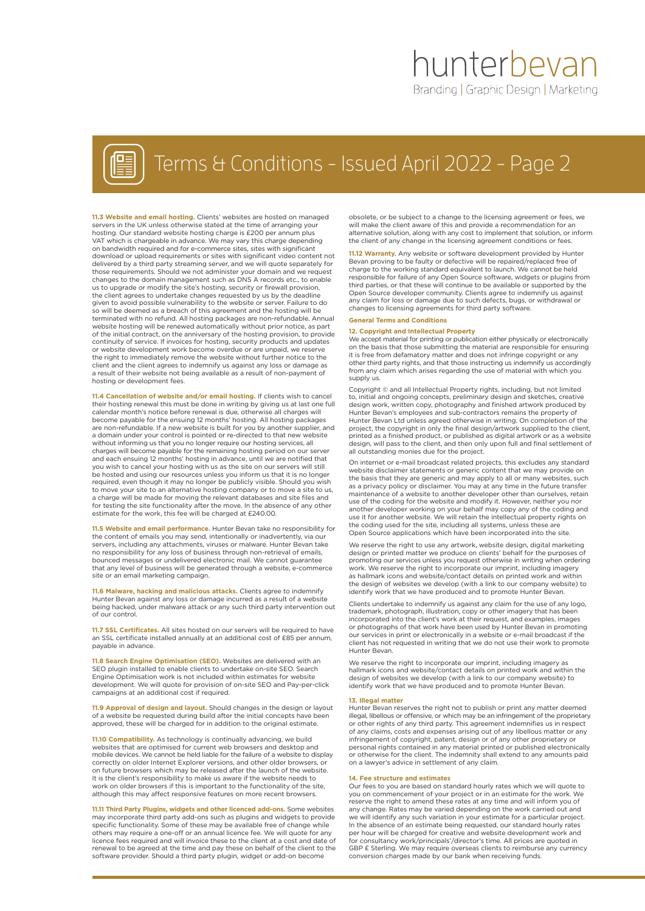# hunterbevan Branding | Graphic Design | Marketing



# Terms & Conditions - Issued April 2022 - Page 2

**11.3 Website and email hosting.** Clients' websites are hosted on managed servers in the UK unless otherwise stated at the time of arranging your hosting. Our standard website hosting charge is £200 per annum plus VAT which is chargeable in advance. We may vary this charge depending on bandwidth required and for e-commerce sites, sites with significant download or upload requirements or sites with significant video content not delivered by a third party streaming server, and we will quote separately for those requirements. Should we not administer your domain and we request changes to the domain management such as DNS A records etc., to enable us to upgrade or modify the site's hosting, security or firewall provision, the client agrees to undertake changes requested by us by the deadline given to avoid possible vulnerability to the website or server. Failure to do so will be deemed as a breach of this agreement and the hosting will be terminated with no refund. All hosting packages are non-refundable. Annual website hosting will be renewed automatically without prior notice, as part of the initial contract, on the anniversary of the hosting provision, to provide continuity of service. If invoices for hosting, security products and updates or website development work become overdue or are unpaid, we reserve the right to immediately remove the website without further notice to the client and the client agrees to indemnify us against any loss or damage as a result of their website not being available as a result of non-payment of hosting or development fees.

**11.4 Cancellation of website and/or email hosting.** If clients wish to cancel their hosting renewal this must be done in writing by giving us at last one full calendar month's notice before renewal is due, otherwise all charges will become payable for the ensuing 12 months' hosting. All hosting packages are non-refundable. If a new website is built for you by another supplier, and a domain under your control is pointed or re-directed to that new website a definant arractly said control to point of the director to that non-no-<br>without informing us that you no longer require our hosting services, all charges will become payable for the remaining hosting period on our server and each ensuing 12 months' hosting in advance, until we are notified that you wish to cancel your hosting with us as the site on our servers will still be hosted and using our resources unless you inform us that it is no longer required, even though it may no longer be publicly visible. Should you wish to move your site to an alternative hosting company or to move a site to us, a charge will be made for moving the relevant databases and site files and for testing the site functionality after the move. In the absence of any other estimate for the work, this fee will be charged at £240.00.

**11.5 Website and email performance.** Hunter Bevan take no responsibility for the content of emails you may send, intentionally or inadvertently, via our servers, including any attachments, viruses or malware. Hunter Bevan take no responsibility for any loss of business through non-retrieval of emails, bounced messages or undelivered electronic mail. We cannot guarantee that any level of business will be generated through a website, e-commerce site or an email marketing campaign.

**11.6 Malware, hacking and malicious attacks.** Clients agree to indemnify Hunter Bevan against any loss or damage incurred as a result of a website being hacked, under malware attack or any such third party intervention out of our control.

**11.7 SSL Certificates.** All sites hosted on our servers will be required to have an SSL certificate installed annually at an additional cost of £85 per annum, payable in advance.

**11.8 Search Engine Optimisation (SEO).** Websites are delivered with an SEO plugin installed to enable clients to undertake on-site SEO. Search Engine Optimisation work is not included within estimates for website development. We will quote for provision of on-site SEO and Pay-per-click campaigns at an additional cost if required.

**11.9 Approval of design and layout.** Should changes in the design or layout of a website be requested during build after the initial concepts have been approved, these will be charged for in addition to the original estimate.

**11.10 Compatibility.** As technology is continually advancing, we build websites that are optimised for current web browsers and desktop and mobile devices. We cannot be held liable for the failure of a website to display correctly on older Internet Explorer versions, and other older browsers, or on future browsers which may be released after the launch of the website. It is the client's responsibility to make us aware if the website needs to work on older browsers if this is important to the functionality of the site, although this may affect responsive features on more recent browsers.

**11.11 Third Party Plugins, widgets and other licenced add-ons.** Some websites may incorporate third party add-ons such as plugins and widgets to provide specific functionality. Some of these may be available free of change while others may require a one-off or an annual licence fee. We will quote for any licence fees required and will invoice these to the client at a cost and date of renewal to be agreed at the time and pay these on behalf of the client to the software provider. Should a third party plugin, widget or add-on become

obsolete, or be subject to a change to the licensing agreement or fees, we will make the client aware of this and provide a recommendation for an alternative solution, along with any cost to implement that solution, or inform the client of any change in the licensing agreement conditions or fees.

**11.12 Warranty.** Any website or software development provided by Hunter Bevan proving to be faulty or defective will be repaired/replaced free of charge to the working standard equivalent to launch. We cannot be held responsible for failure of any Open Source software, widgets or plugins from third parties, or that these will continue to be available or supported by the Open Source developer community. Clients agree to indemnify us against any claim for loss or damage due to such defects, bugs, or withdrawal or changes to licensing agreements for third party software.

### **General Terms and Conditions**

**12. Copyright and Intellectual Property**

We accept material for printing or publication either physically or electronically on the basis that those submitting the material are responsible for ensuring it is free from defamatory matter and does not infringe copyright or any other third party rights, and that those instructing us indemnify us accordingly from any claim which arises regarding the use of material with which you supply us.

Copyright © and all Intellectual Property rights, including, but not limited to, initial and ongoing concepts, preliminary design and sketches, creative design work, written copy, photography and finished artwork produced by Hunter Bevan's employees and sub-contractors remains the property of Hunter Bevan Ltd unless agreed otherwise in writing. On completion of the project, the copyright in only the final design/artwork supplied to the client, printed as a finished product, or published as digital artwork or as a website design, will pass to the client, and then only upon full and final settlement of all outstanding monies due for the project.

On internet or e-mail broadcast related projects, this excludes any standard website disclaimer statements or generic content that we may provide on the basis that they are generic and may apply to all or many websites, such as a privacy policy or disclaimer. You may at any time in the future transfer maintenance of a website to another developer other than ourselves, retain use of the coding for the website and modify it. However, neither you nor another developer working on your behalf may copy any of the coding and use it for another website. We will retain the intellectual property rights on the coding used for the site, including all systems, unless these are Open Source applications which have been incorporated into the site.

We reserve the right to use any artwork, website design, digital marketing design or printed matter we produce on clients' behalf for the purposes of promoting our services unless you request otherwise in writing when ordering work. We reserve the right to incorporate our imprint, including imagery as hallmark icons and website/contact details on printed work and within the design of websites we develop (with a link to our company website) to identify work that we have produced and to promote Hunter Bevan.

Clients undertake to indemnify us against any claim for the use of any logo, trademark, photograph, illustration, copy or other imagery that has been incorporated into the client's work at their request, and examples, images or photographs of that work have been used by Hunter Bevan in promoting our services in print or electronically in a website or e-mail broadcast if the client has not requested in writing that we do not use their work to promote Hunter Bevan.

We reserve the right to incorporate our imprint, including imagery as hallmark icons and website/contact details on printed work and within the design of websites we develop (with a link to our company website) to identify work that we have produced and to promote Hunter Bevan.

### **13. Illegal matter**

Hunter Bevan reserves the right not to publish or print any matter deemed illegal, libellous or offensive, or which may be an infringement of the proprietary or other rights of any third party. This agreement indemnifies us in respect of any claims, costs and expenses arising out of any libellous matter or any infringement of copyright, patent, design or of any other proprietary or personal rights contained in any material printed or published electronically or otherwise for the client. The indemnity shall extend to any amounts paid on a lawyer's advice in settlement of any claim.

### **14. Fee structure and estimates**

Our fees to you are based on standard hourly rates which we will quote to you on commencement of your project or in an estimate for the work. We reserve the right to amend these rates at any time and will inform you of any change. Rates may be varied depending on the work carried out and we will identify any such variation in your estimate for a particular project. In the absence of an estimate being requested, our standard hourly rates per hour will be charged for creative and website development work and for consultancy work/principals'/director's time. All prices are quoted in GBP £ Sterling. We may require overseas clients to reimburse any currency conversion charges made by our bank when receiving funds.